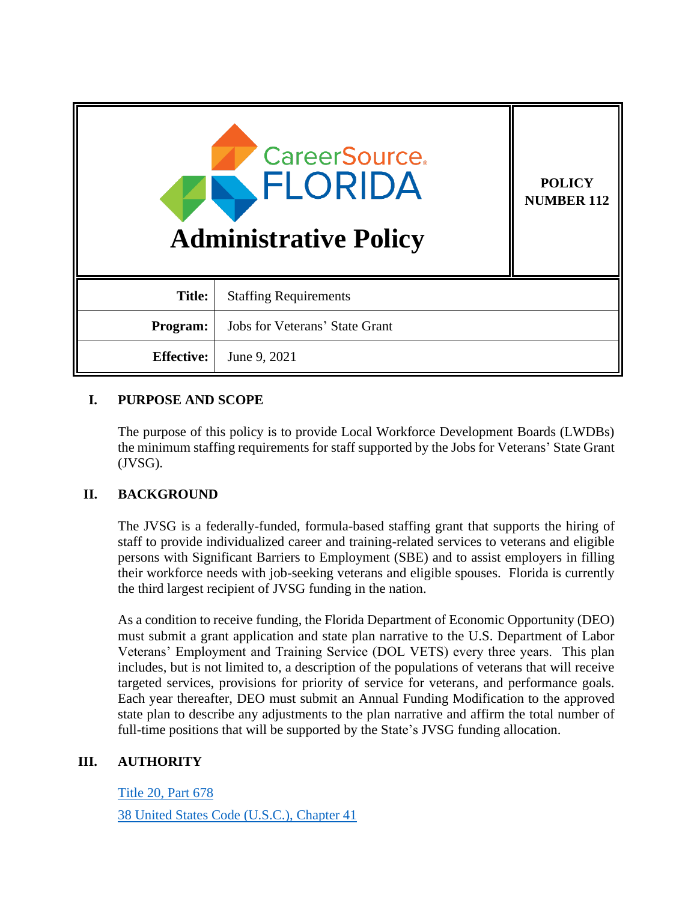| <b>CareerSource</b><br>FLORIDA<br><b>Administrative Policy</b> |                                       | <b>POLICY</b><br><b>NUMBER 112</b> |
|----------------------------------------------------------------|---------------------------------------|------------------------------------|
| <b>Title:</b>                                                  | <b>Staffing Requirements</b>          |                                    |
| Program:                                                       | <b>Jobs for Veterans' State Grant</b> |                                    |
| <b>Effective:</b>                                              | June 9, 2021                          |                                    |

# **I. PURPOSE AND SCOPE**

The purpose of this policy is to provide Local Workforce Development Boards (LWDBs) the minimum staffing requirements for staff supported by the Jobs for Veterans' State Grant (JVSG).

# **II. BACKGROUND**

The JVSG is a federally-funded, formula-based staffing grant that supports the hiring of staff to provide individualized career and training-related services to veterans and eligible persons with Significant Barriers to Employment (SBE) and to assist employers in filling their workforce needs with job-seeking veterans and eligible spouses. Florida is currently the third largest recipient of JVSG funding in the nation.

As a condition to receive funding, the Florida Department of Economic Opportunity (DEO) must submit a grant application and state plan narrative to the U.S. Department of Labor Veterans' Employment and Training Service (DOL VETS) every three years. This plan includes, but is not limited to, a description of the populations of veterans that will receive targeted services, provisions for priority of service for veterans, and performance goals. Each year thereafter, DEO must submit an Annual Funding Modification to the approved state plan to describe any adjustments to the plan narrative and affirm the total number of full-time positions that will be supported by the State's JVSG funding allocation.

## **III. AUTHORITY**

[Title 20, Part 678](https://ecfr.io/Title-20/Part-678)

[38 United States Code](https://uscode.house.gov/view.xhtml?req=granuleid%3AUSC-prelim-title38-chapter41&edition=prelim) (U.S.C.), Chapter 41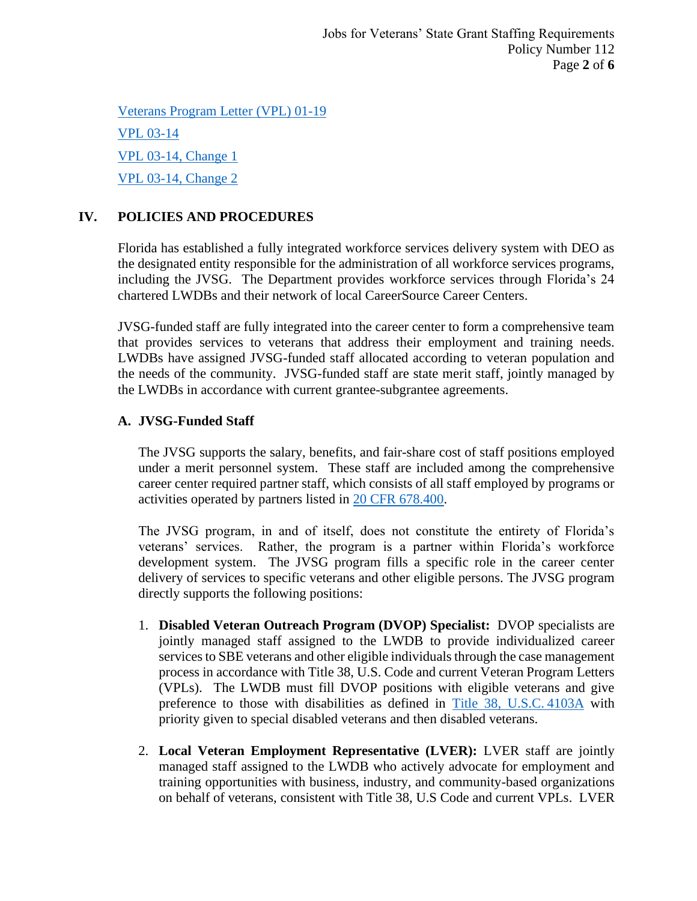[Veterans Program Letter \(VPL\) 01-19](https://www.dol.gov/sites/dolgov/files/VETS/legacy/files/01-19-Training-Requirements-and-Reference.pdf) VPL [03-14](https://www.dol.gov/sites/dolgov/files/VETS/legacy/files/VPL-03-14.pdf) VPL 03-14, [Change 1](https://www.dol.gov/sites/dolgov/files/VETS/legacy/files/VPL-03-14-Change-1.pdf) VPL 03-14, [Change 2](https://www.dol.gov/sites/dolgov/files/VETS/legacy/files/VPL-03-14-Change-2.pdf)

# **IV. POLICIES AND PROCEDURES**

Florida has established a fully integrated workforce services delivery system with DEO as the designated entity responsible for the administration of all workforce services programs, including the JVSG. The Department provides workforce services through Florida's 24 chartered LWDBs and their network of local CareerSource Career Centers.

JVSG-funded staff are fully integrated into the career center to form a comprehensive team that provides services to veterans that address their employment and training needs. LWDBs have assigned JVSG-funded staff allocated according to veteran population and the needs of the community. JVSG-funded staff are state merit staff, jointly managed by the LWDBs in accordance with current grantee-subgrantee agreements.

# **A. JVSG-Funded Staff**

The JVSG supports the salary, benefits, and fair-share cost of staff positions employed under a merit personnel system. These staff are included among the comprehensive career center required partner staff, which consists of all staff employed by programs or activities operated by partners listed in [20 CFR 678.400.](https://www.govinfo.gov/app/details/CFR-2017-title20-vol4/CFR-2017-title20-vol4-sec678-400)

The JVSG program, in and of itself, does not constitute the entirety of Florida's veterans' services. Rather, the program is a partner within Florida's workforce development system. The JVSG program fills a specific role in the career center delivery of services to specific veterans and other eligible persons. The JVSG program directly supports the following positions:

- 1. **Disabled Veteran Outreach Program (DVOP) Specialist:** DVOP specialists are jointly managed staff assigned to the LWDB to provide individualized career services to SBE veterans and other eligible individuals through the case management process in accordance with Title 38, U.S. Code and current Veteran Program Letters (VPLs). The LWDB must fill DVOP positions with eligible veterans and give preference to those with disabilities as defined in [Title 38, U.S.C.](https://www.govregs.com/uscode/title38_partIII_chapter41_section4103A) 4103A with priority given to special disabled veterans and then disabled veterans.
- 2. **Local Veteran Employment Representative (LVER):** LVER staff are jointly managed staff assigned to the LWDB who actively advocate for employment and training opportunities with business, industry, and community-based organizations on behalf of veterans, consistent with Title 38, U.S Code and current VPLs. LVER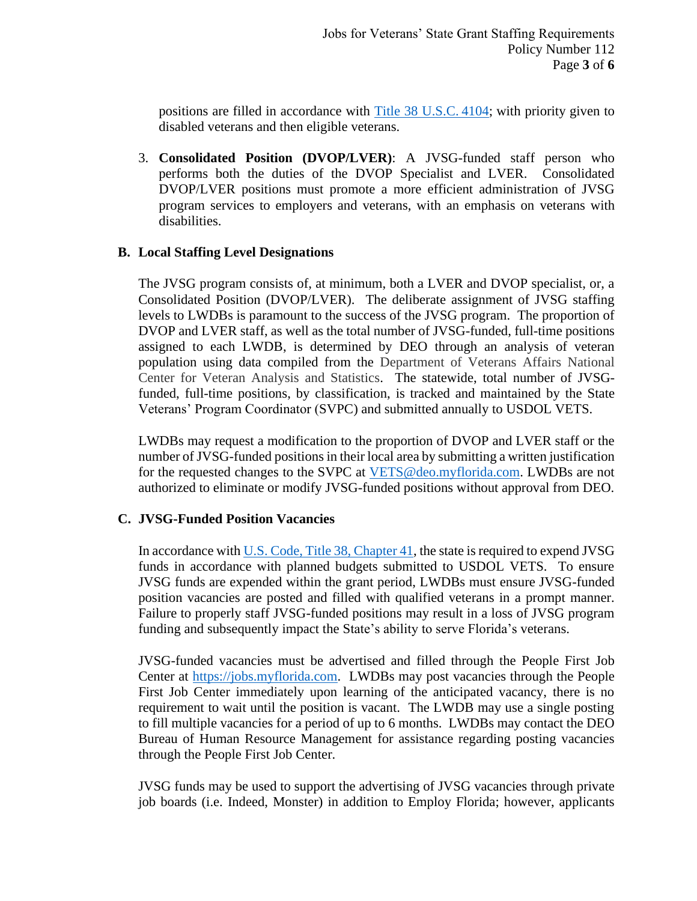positions are filled in accordance with [Title 38 U.S.C.](https://www.govregs.com/uscode/38/4104) 4104; with priority given to disabled veterans and then eligible veterans.

3. **Consolidated Position (DVOP/LVER)**: A JVSG-funded staff person who performs both the duties of the DVOP Specialist and LVER. Consolidated DVOP/LVER positions must promote a more efficient administration of JVSG program services to employers and veterans, with an emphasis on veterans with disabilities.

#### **B. Local Staffing Level Designations**

The JVSG program consists of, at minimum, both a LVER and DVOP specialist, or, a Consolidated Position (DVOP/LVER). The deliberate assignment of JVSG staffing levels to LWDBs is paramount to the success of the JVSG program. The proportion of DVOP and LVER staff, as well as the total number of JVSG-funded, full-time positions assigned to each LWDB, is determined by DEO through an analysis of veteran population using data compiled from the Department of Veterans Affairs National Center for Veteran Analysis and Statistics. The statewide, total number of JVSGfunded, full-time positions, by classification, is tracked and maintained by the State Veterans' Program Coordinator (SVPC) and submitted annually to USDOL VETS.

LWDBs may request a modification to the proportion of DVOP and LVER staff or the number of JVSG-funded positions in their local area by submitting a written justification for the requested changes to the SVPC at [VETS@deo.myflorida.com.](mailto:VETS@deo.myflorida.com) LWDBs are not authorized to eliminate or modify JVSG-funded positions without approval from DEO.

## **C. JVSG-Funded Position Vacancies**

In accordance with [U.S. Code, Title 38, Chapter 41,](https://uscode.house.gov/view.xhtml?path=/prelim@title38/part3/chapter41&edition=prelim) the state is required to expend JVSG funds in accordance with planned budgets submitted to USDOL VETS. To ensure JVSG funds are expended within the grant period, LWDBs must ensure JVSG-funded position vacancies are posted and filled with qualified veterans in a prompt manner. Failure to properly staff JVSG-funded positions may result in a loss of JVSG program funding and subsequently impact the State's ability to serve Florida's veterans.

JVSG-funded vacancies must be advertised and filled through the People First Job Center at [https://jobs.myflorida.com.](https://jobs.myflorida.com/) LWDBs may post vacancies through the People First Job Center immediately upon learning of the anticipated vacancy, there is no requirement to wait until the position is vacant. The LWDB may use a single posting to fill multiple vacancies for a period of up to 6 months. LWDBs may contact the DEO Bureau of Human Resource Management for assistance regarding posting vacancies through the People First Job Center.

JVSG funds may be used to support the advertising of JVSG vacancies through private job boards (i.e. Indeed, Monster) in addition to Employ Florida; however, applicants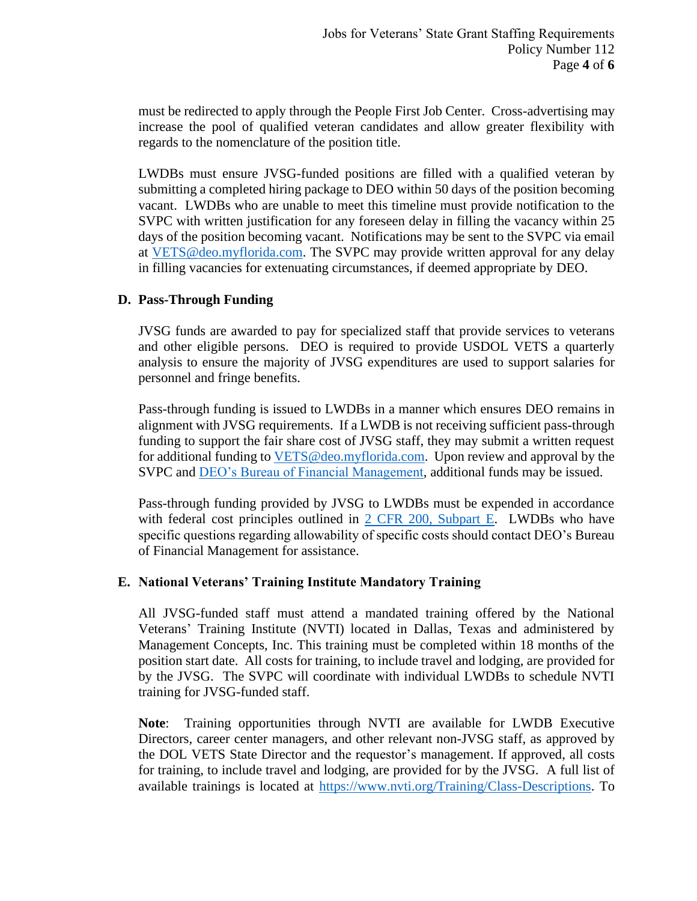must be redirected to apply through the People First Job Center. Cross-advertising may increase the pool of qualified veteran candidates and allow greater flexibility with regards to the nomenclature of the position title.

LWDBs must ensure JVSG-funded positions are filled with a qualified veteran by submitting a completed hiring package to DEO within 50 days of the position becoming vacant. LWDBs who are unable to meet this timeline must provide notification to the SVPC with written justification for any foreseen delay in filling the vacancy within 25 days of the position becoming vacant. Notifications may be sent to the SVPC via email at [VETS@deo.myflorida.com.](mailto:VETS@deo.myflorida.com) The SVPC may provide written approval for any delay in filling vacancies for extenuating circumstances, if deemed appropriate by DEO.

### **D. Pass-Through Funding**

JVSG funds are awarded to pay for specialized staff that provide services to veterans and other eligible persons. DEO is required to provide USDOL VETS a quarterly analysis to ensure the majority of JVSG expenditures are used to support salaries for personnel and fringe benefits.

Pass-through funding is issued to LWDBs in a manner which ensures DEO remains in alignment with JVSG requirements. If a LWDB is not receiving sufficient pass-through funding to support the fair share cost of JVSG staff, they may submit a written request for additional funding to [VETS@deo.myflorida.com.](mailto:VETS@deo.myflorida.com) Upon review and approval by the SVPC and [DEO's Bureau of Financial Management,](http://www.floridajobs.org/grants-management/grants-management/lwdb-grant-resources) additional funds may be issued.

Pass-through funding provided by JVSG to LWDBs must be expended in accordance with federal cost principles outlined in [2 CFR 200, Subpart E.](https://www.ecfr.gov/cgi-bin/text-idx?SID=69119afacfccc9af0777fafbfd774c09&mc=true&node=pt2.1.200&rgn=div5#sp2.1.200.e) LWDBs who have specific questions regarding allowability of specific costs should contact DEO's Bureau of Financial Management for assistance.

#### **E. National Veterans' Training Institute Mandatory Training**

All JVSG-funded staff must attend a mandated training offered by the National Veterans' Training Institute (NVTI) located in Dallas, Texas and administered by Management Concepts, Inc. This training must be completed within 18 months of the position start date. All costs for training, to include travel and lodging, are provided for by the JVSG. The SVPC will coordinate with individual LWDBs to schedule NVTI training for JVSG-funded staff.

**Note**: Training opportunities through NVTI are available for LWDB Executive Directors, career center managers, and other relevant non-JVSG staff, as approved by the DOL VETS State Director and the requestor's management. If approved, all costs for training, to include travel and lodging, are provided for by the JVSG. A full list of available trainings is located at [https://www.nvti.org/Training/Class-Descriptions.](https://www.nvti.org/Training/Class-Descriptions) To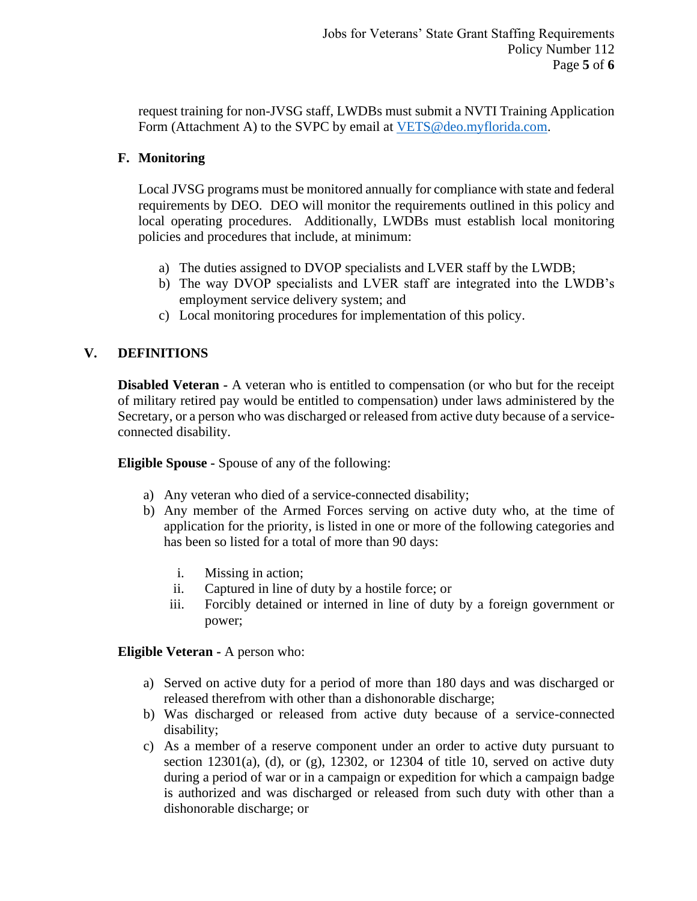request training for non-JVSG staff, LWDBs must submit a NVTI Training Application Form (Attachment A) to the SVPC by email at [VETS@deo.myflorida.com.](mailto:VETS@deo.myflorida.com)

## **F. Monitoring**

Local JVSG programs must be monitored annually for compliance with state and federal requirements by DEO. DEO will monitor the requirements outlined in this policy and local operating procedures. Additionally, LWDBs must establish local monitoring policies and procedures that include, at minimum:

- a) The duties assigned to DVOP specialists and LVER staff by the LWDB;
- b) The way DVOP specialists and LVER staff are integrated into the LWDB's employment service delivery system; and
- c) Local monitoring procedures for implementation of this policy.

# **V. DEFINITIONS**

**Disabled Veteran -** A veteran who is entitled to compensation (or who but for the receipt of military retired pay would be entitled to compensation) under laws administered by the Secretary, or a person who was discharged or released from active duty because of a serviceconnected disability.

**Eligible Spouse -** Spouse of any of the following:

- a) Any veteran who died of a service-connected disability;
- b) Any member of the Armed Forces serving on active duty who, at the time of application for the priority, is listed in one or more of the following categories and has been so listed for a total of more than 90 days:
	- i. Missing in action;
	- ii. Captured in line of duty by a hostile force; or
	- iii. Forcibly detained or interned in line of duty by a foreign government or power;

**Eligible Veteran -** A person who:

- a) Served on active duty for a period of more than 180 days and was discharged or released therefrom with other than a dishonorable discharge;
- b) Was discharged or released from active duty because of a service-connected disability;
- c) As a member of a reserve component under an order to active duty pursuant to section  $12301(a)$ , (d), or (g),  $12302$ , or  $12304$  of title 10, served on active duty during a period of war or in a campaign or expedition for which a campaign badge is authorized and was discharged or released from such duty with other than a dishonorable discharge; or